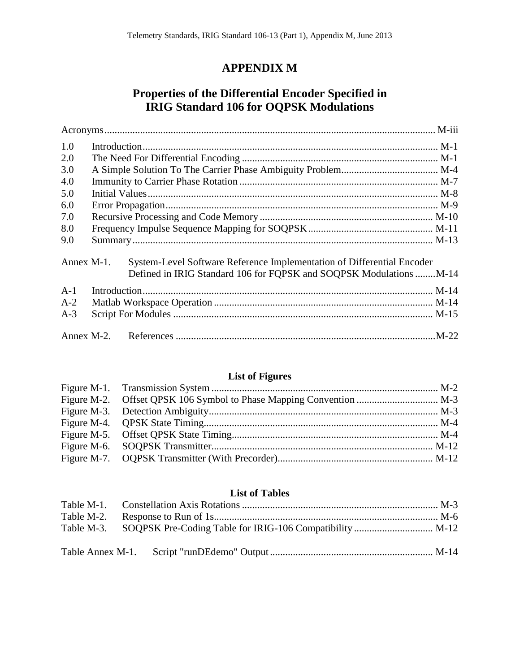## **APPENDIX M**

## **Properties of the Differential Encoder Specified in IRIG Standard 106 for OQPSK Modulations**

| 1.0        |  |                                                                        |  |  |  |  |
|------------|--|------------------------------------------------------------------------|--|--|--|--|
| 2.0        |  |                                                                        |  |  |  |  |
| 3.0        |  |                                                                        |  |  |  |  |
| 4.0        |  |                                                                        |  |  |  |  |
| 5.0        |  |                                                                        |  |  |  |  |
| 6.0        |  |                                                                        |  |  |  |  |
| 7.0        |  |                                                                        |  |  |  |  |
| 8.0        |  |                                                                        |  |  |  |  |
| 9.0        |  |                                                                        |  |  |  |  |
| Annex M-1. |  | System-Level Software Reference Implementation of Differential Encoder |  |  |  |  |
|            |  | Defined in IRIG Standard 106 for FOPSK and SOOPSK Modulations M-14     |  |  |  |  |
| $A-1$      |  |                                                                        |  |  |  |  |
| $A-2$      |  |                                                                        |  |  |  |  |
| $A-3$      |  |                                                                        |  |  |  |  |
|            |  |                                                                        |  |  |  |  |

### **List of Figures**

### **List of Tables**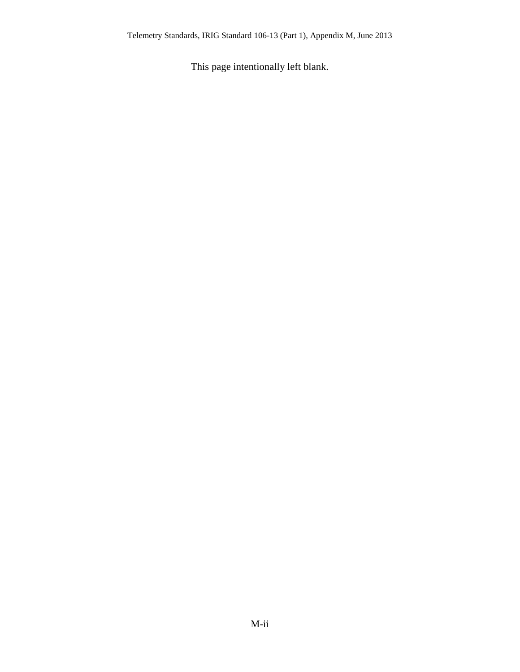This page intentionally left blank.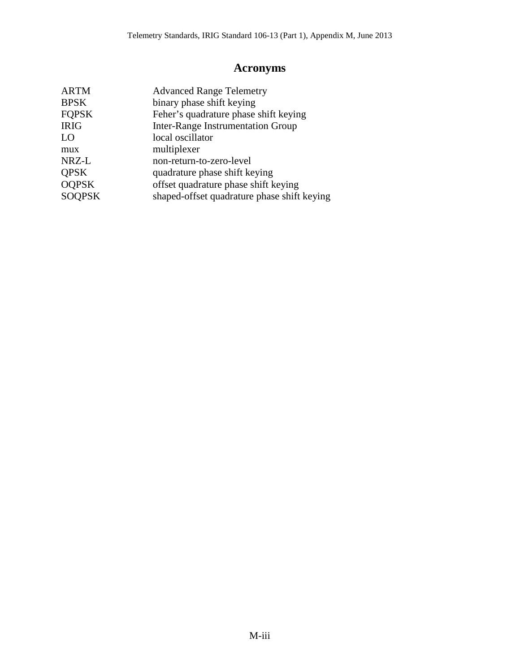# **Acronyms**

<span id="page-2-0"></span>

| <b>Advanced Range Telemetry</b>             |
|---------------------------------------------|
| binary phase shift keying                   |
| Feher's quadrature phase shift keying       |
| <b>Inter-Range Instrumentation Group</b>    |
| local oscillator                            |
| multiplexer                                 |
| non-return-to-zero-level                    |
| quadrature phase shift keying               |
| offset quadrature phase shift keying        |
| shaped-offset quadrature phase shift keying |
|                                             |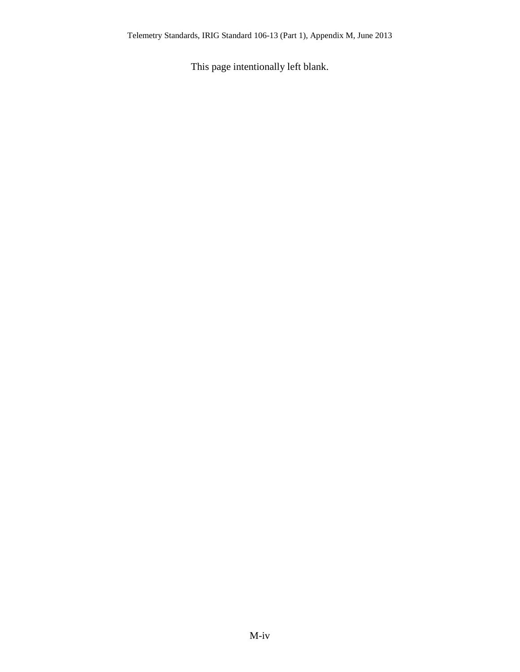This page intentionally left blank.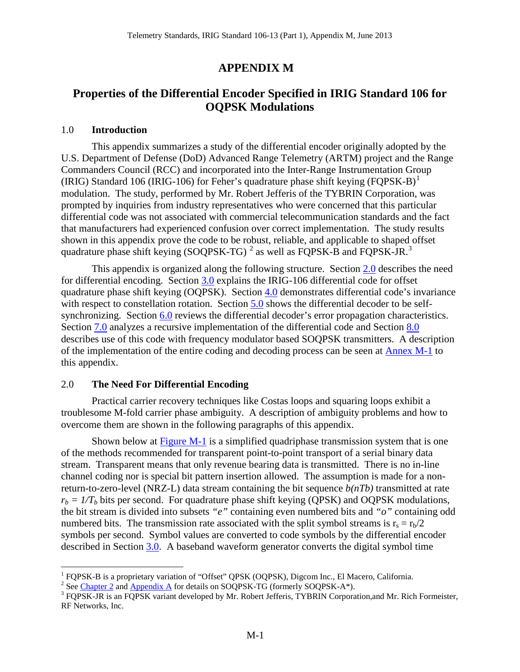## **APPENDIX M**

## **Properties of the Differential Encoder Specified in IRIG Standard 106 for OQPSK Modulations**

#### <span id="page-4-0"></span>1.0 **Introduction**

This appendix summarizes a study of the differential encoder originally adopted by the U.S. Department of Defense (DoD) Advanced Range Telemetry (ARTM) project and the Range Commanders Council (RCC) and incorporated into the Inter-Range Instrumentation Group (IRIG) Standard [1](#page-4-2)06 (IRIG-106) for Feher's quadrature phase shift keying  $(FQPSK-B)^{1}$ modulation. The study, performed by Mr. Robert Jefferis of the TYBRIN Corporation, was prompted by inquiries from industry representatives who were concerned that this particular differential code was not associated with commercial telecommunication standards and the fact that manufacturers had experienced confusion over correct implementation. The study results shown in this appendix prove the code to be robust, reliable, and applicable to shaped offset quadrature phase shift keying (SOQPSK-TG) [2](#page-4-3) as well as FQPSK-B and FQPSK-JR.[3](#page-4-4)

This appendix is organized along the following structure. Section [2.0](#page-4-1) describes the need for differential encoding. Section [3.0](#page-7-0) explains the IRIG-106 differential code for offset quadrature phase shift keying (OQPSK). Section [4.0](#page-10-0) demonstrates differential code's invariance with respect to constellation rotation. Section [5.0](#page-11-0) shows the differential decoder to be self-synchronizing. Section [6.0](#page-12-0) reviews the differential decoder's error propagation characteristics. Section [7.0](#page-13-0) analyzes a recursive implementation of the differential code and Section [8.0](#page-14-0) describes use of this code with frequency modulator based SOQPSK transmitters. A description of the implementation of the entire coding and decoding process can be seen at [Annex M-1](#page-17-0) to this appendix.

### <span id="page-4-1"></span>2.0 **The Need For Differential Encoding**

Practical carrier recovery techniques like Costas loops and squaring loops exhibit a troublesome M-fold carrier phase ambiguity. A description of ambiguity problems and how to overcome them are shown in the following paragraphs of this appendix.

Shown below at [Figure M-1](#page-5-0) is a simplified quadriphase transmission system that is one of the methods recommended for transparent point-to-point transport of a serial binary data stream. Transparent means that only revenue bearing data is transmitted. There is no in-line channel coding nor is special bit pattern insertion allowed. The assumption is made for a nonreturn-to-zero-level (NRZ-L) data stream containing the bit sequence *b(nTb)* transmitted at rate  $r_b = I/T_b$  bits per second. For quadrature phase shift keying (QPSK) and OQPSK modulations, the bit stream is divided into subsets *"e"* containing even numbered bits and *"o"* containing odd numbered bits. The transmission rate associated with the split symbol streams is  $r_s = r_b/2$ symbols per second. Symbol values are converted to code symbols by the differential encoder described in Section [3.0.](#page-7-0) A baseband waveform generator converts the digital symbol time

<span id="page-4-3"></span><span id="page-4-2"></span><sup>&</sup>lt;sup>1</sup> FQPSK-B is a proprietary variation of "Offset" QPSK (OQPSK), Digcom Inc., El Macero, California.<br>
<sup>2</sup> Se[e Chapter 2](http://www.wsmr.army.mil/RCCsite/Documents/106-13_Telemetry_Standards/chapter2.pdf) and [Appendix A](http://www.wsmr.army.mil/RCCsite/Documents/106-13_Telemetry_Standards/appendixA.pdf) for details on SOQPSK-TG (formerly SOQPSK-A\*).<br>
<sup>3</sup> FOPSK-JR is an FOPSK variant devel

<span id="page-4-4"></span>RF Networks, Inc.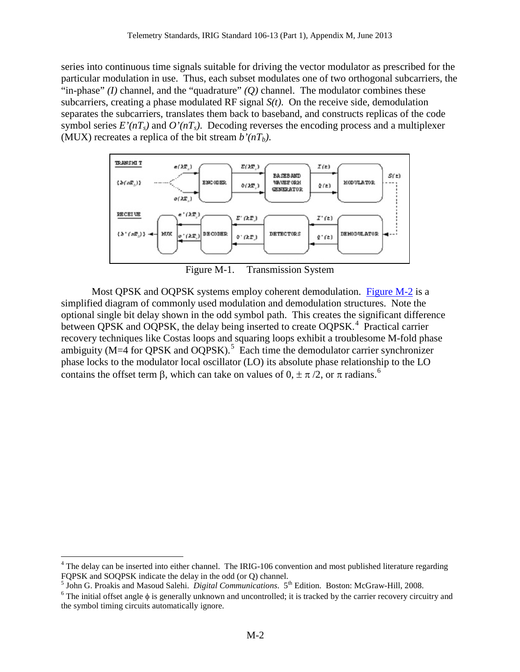series into continuous time signals suitable for driving the vector modulator as prescribed for the particular modulation in use. Thus, each subset modulates one of two orthogonal subcarriers, the "in-phase" *(I)* channel, and the "quadrature"  $(Q)$  channel. The modulator combines these subcarriers, creating a phase modulated RF signal *S(t)*. On the receive side, demodulation separates the subcarriers, translates them back to baseband, and constructs replicas of the code symbol series  $E'(nT_s)$  and  $O'(nT_s)$ . Decoding reverses the encoding process and a multiplexer (MUX) recreates a replica of the bit stream  $b'(nT_b)$ .



Figure M-1. Transmission System

<span id="page-5-0"></span>Most QPSK and OQPSK systems employ coherent demodulation. [Figure M-2](#page-6-0) is a simplified diagram of commonly used modulation and demodulation structures. Note the optional single bit delay shown in the odd symbol path. This creates the significant difference between QPSK and OQPSK, the delay being inserted to create OQPSK.<sup>[4](#page-5-1)</sup> Practical carrier recovery techniques like Costas loops and squaring loops exhibit a troublesome M-fold phase ambiguity ( $M=4$  for QPSK and OQPSK).<sup>[5](#page-5-2)</sup> Each time the demodulator carrier synchronizer phase locks to the modulator local oscillator (LO) its absolute phase relationship to the LO contains the offset term β, which can take on values of  $0, \pm \pi/2$ , or  $\pi$  radians.<sup>[6](#page-5-3)</sup>

<span id="page-5-1"></span><sup>&</sup>lt;sup>4</sup> The delay can be inserted into either channel. The IRIG-106 convention and most published literature regarding FQPSK and SOQPSK indicate the delay in the odd (or Q) channel.

<span id="page-5-2"></span><sup>&</sup>lt;sup>5</sup> John G. Proakis and Masoud Salehi. *Digital Communications*. 5<sup>th</sup> Edition. Boston: McGraw-Hill, 2008.

<span id="page-5-3"></span> $6$  The initial offset angle  $\phi$  is generally unknown and uncontrolled; it is tracked by the carrier recovery circuitry and the symbol timing circuits automatically ignore.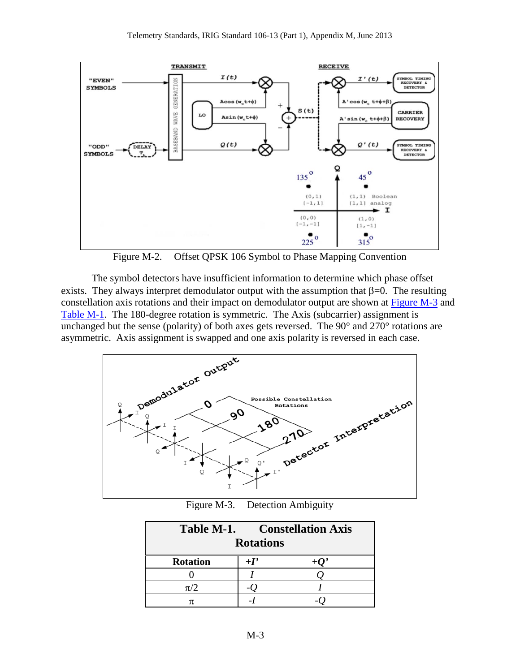

Figure M-2. Offset QPSK 106 Symbol to Phase Mapping Convention

<span id="page-6-0"></span>The symbol detectors have insufficient information to determine which phase offset exists. They always interpret demodulator output with the assumption that  $\beta = 0$ . The resulting constellation axis rotations and their impact on demodulator output are shown at [Figure M-3](#page-6-1) and [Table M-1.](#page-6-2) The 180-degree rotation is symmetric. The Axis (subcarrier) assignment is unchanged but the sense (polarity) of both axes gets reversed. The 90° and 270° rotations are asymmetric. Axis assignment is swapped and one axis polarity is reversed in each case.



Figure M-3. Detection Ambiguity

<span id="page-6-2"></span><span id="page-6-1"></span>

|                  |       | <b>Table M-1.</b> Constellation Axis |  |  |  |
|------------------|-------|--------------------------------------|--|--|--|
| <b>Rotations</b> |       |                                      |  |  |  |
| <b>Rotation</b>  | $+I'$ |                                      |  |  |  |
|                  |       |                                      |  |  |  |
| $\pi/2$          |       |                                      |  |  |  |
|                  |       |                                      |  |  |  |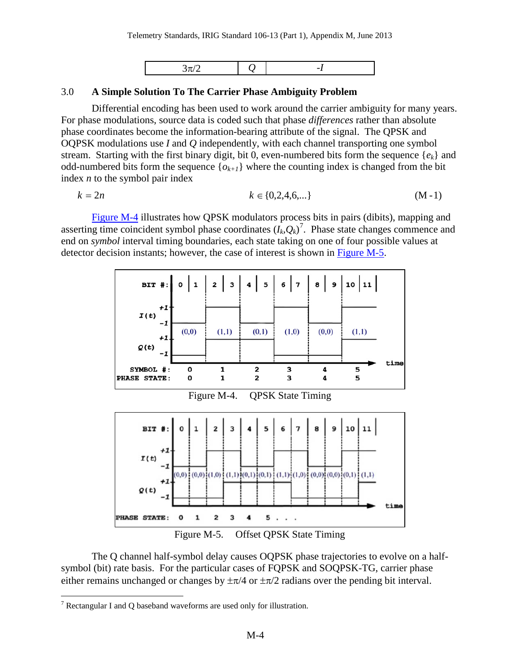|--|--|--|

### <span id="page-7-0"></span>3.0 **A Simple Solution To The Carrier Phase Ambiguity Problem**

Differential encoding has been used to work around the carrier ambiguity for many years. For phase modulations, source data is coded such that phase *differences* rather than absolute phase coordinates become the information-bearing attribute of the signal. The QPSK and OQPSK modulations use *I* and *Q* independently, with each channel transporting one symbol stream. Starting with the first binary digit, bit 0, even-numbered bits form the sequence  $\{e_k\}$  and odd-numbered bits form the sequence  $\{o_{k+1}\}\$  where the counting index is changed from the bit index *n* to the symbol pair index

$$
k = 2n \qquad k \in \{0, 2, 4, 6, \dots\} \qquad (M-1)
$$

[Figure M-4](#page-7-1) illustrates how QPSK modulators process bits in pairs (dibits), mapping and asserting time coincident symbol phase coordinates  $(I_k, Q_k)^7$  $(I_k, Q_k)^7$ . Phase state changes commence and end on *symbol* interval timing boundaries, each state taking on one of four possible values at detector decision instants; however, the case of interest is shown in [Figure M-5.](#page-7-2)

<span id="page-7-1"></span>

<span id="page-7-2"></span>The Q channel half-symbol delay causes OQPSK phase trajectories to evolve on a halfsymbol (bit) rate basis. For the particular cases of FQPSK and SOQPSK-TG, carrier phase either remains unchanged or changes by  $\pm \pi/4$  or  $\pm \pi/2$  radians over the pending bit interval.

<span id="page-7-3"></span> $\frac{7}{7}$  Rectangular I and Q baseband waveforms are used only for illustration.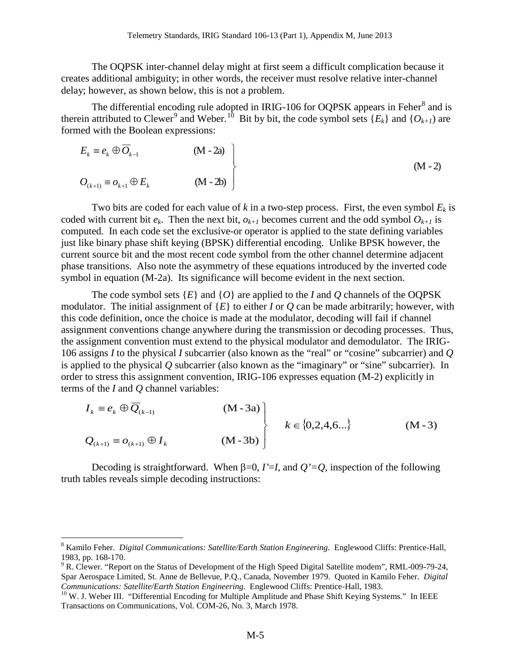The OQPSK inter-channel delay might at first seem a difficult complication because it creates additional ambiguity; in other words, the receiver must resolve relative inter-channel delay; however, as shown below, this is not a problem.

The differential encoding rule adopted in IRIG-106 for OQPSK appears in Feher<sup>[8](#page-8-0)</sup> and is therein attributed to Clewer<sup>[9](#page-8-1)</sup> and Weber.<sup>10</sup> Bit by bit, the code symbol sets { $E_k$ } and { $O_{k+1}$ } are formed with the Boolean expressions:

$$
E_k \equiv e_k \oplus \overline{O}_{k-1} \qquad (M - 2a)
$$
  
\n
$$
O_{(k+1)} \equiv o_{k+1} \oplus E_k \qquad (M - 2b)
$$

Two bits are coded for each value of  $k$  in a two-step process. First, the even symbol  $E_k$  is coded with current bit  $e_k$ . Then the next bit,  $o_{k+1}$  becomes current and the odd symbol  $O_{k+1}$  is computed. In each code set the exclusive-or operator is applied to the state defining variables just like binary phase shift keying (BPSK) differential encoding. Unlike BPSK however, the current source bit and the most recent code symbol from the other channel determine adjacent phase transitions. Also note the asymmetry of these equations introduced by the inverted code symbol in equation (M-2a). Its significance will become evident in the next section.

The code symbol sets  $\{E\}$  and  $\{O\}$  are applied to the *I* and *O* channels of the OOPSK modulator. The initial assignment of {*E*} to either *I* or *Q* can be made arbitrarily; however, with this code definition, once the choice is made at the modulator, decoding will fail if channel assignment conventions change anywhere during the transmission or decoding processes. Thus, the assignment convention must extend to the physical modulator and demodulator. The IRIG-106 assigns *I* to the physical *I* subcarrier (also known as the "real" or "cosine" subcarrier) and *Q* is applied to the physical *Q* subcarrier (also known as the "imaginary" or "sine" subcarrier). In order to stress this assignment convention, IRIG-106 expresses equation (M-2) explicitly in terms of the *I* and *Q* channel variables:

$$
I_{k} \equiv e_{k} \oplus \overline{Q}_{(k-1)}
$$
\n(M-3a)\n
$$
Q_{(k+1)} \equiv o_{(k+1)} \oplus I_{k}
$$
\n(M-3b)\n
$$
k \in \{0, 2, 4, 6...\}
$$
\n(M-3b)

Decoding is straightforward. When β=0, *I'*=*I*, and *Q'=Q*, inspection of the following truth tables reveals simple decoding instructions:

<span id="page-8-0"></span> <sup>8</sup> Kamilo Feher. *Digital Communications: Satellite/Earth Station Engineering*. Englewood Cliffs: Prentice-Hall, 1983, pp. 168-170.<br><sup>9</sup> R. Clewer. "Report on the Status of Development of the High Speed Digital Satellite modem", RML-009-79-24,

<span id="page-8-1"></span>Spar Aerospace Limited, St. Anne de Bellevue, P.Q., Canada, November 1979. Quoted in Kamilo Feher. *Digital Communications: Satellite/Earth Station Engineering.* Englewood Cliffs: Prentice-Hall, 1983.<br><sup>10</sup> W. J. Weber III. "Differential Encoding for Multiple Amplitude and Phase Shift Keying Systems." In IEEE

<span id="page-8-2"></span>Transactions on Communications, Vol. COM-26, No. 3, March 1978.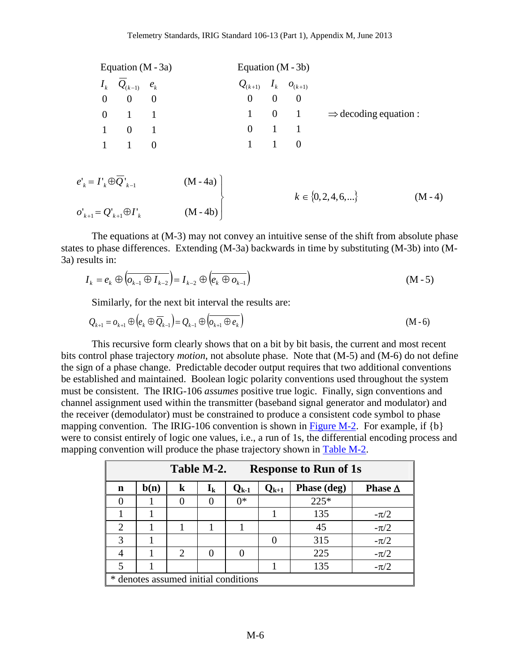|  | Equation $(M - 3a)$     |  |          |                     | Equation $(M - 3b)$                      |                                   |
|--|-------------------------|--|----------|---------------------|------------------------------------------|-----------------------------------|
|  | $I_k$ $Q_{(k-1)}$ $e_k$ |  |          |                     | $Q_{(k+1)}$ $I_k$ $o_{(k+1)}$            |                                   |
|  | $0 \qquad 0 \qquad 0$   |  | $\Omega$ |                     | $\begin{array}{ccc} & & 0 & \end{array}$ |                                   |
|  | $0 \t 1 \t 1$           |  |          | 1 0 1               |                                          | $\Rightarrow$ decoding equation : |
|  | $1 \quad 0 \quad 1$     |  | $\theta$ |                     | $-1$ 1                                   |                                   |
|  | $1 \quad 1 \quad 0$     |  |          | $1 \quad 1 \quad 0$ |                                          |                                   |
|  |                         |  |          |                     |                                          |                                   |

$$
e'_{k} = \Gamma_{k} \oplus \overline{Q'}_{k-1} \qquad (M - 4a)
$$
  
\n
$$
o'_{k+1} = Q'_{k+1} \oplus \Gamma_{k} \qquad (M - 4b)
$$
  
\n
$$
k \in \{0, 2, 4, 6, ...\}
$$
 (M - 4)

The equations at (M-3) may not convey an intuitive sense of the shift from absolute phase states to phase differences. Extending (M-3a) backwards in time by substituting (M-3b) into (M-3a) results in:

$$
I_k = e_k \oplus \left(\overline{o_{k-1} \oplus I_{k-2}}\right) = I_{k-2} \oplus \left(\overline{e_k \oplus o_{k-1}}\right)
$$
\n(M - 5)

Similarly, for the next bit interval the results are:

$$
Q_{k+1} = o_{k+1} \oplus \left(e_k \oplus \overline{Q}_{k-1}\right) = Q_{k-1} \oplus \left(\overline{o_{k+1} \oplus e_k}\right) \tag{M-6}
$$

This recursive form clearly shows that on a bit by bit basis, the current and most recent bits control phase trajectory *motion*, not absolute phase. Note that (M-5) and (M-6) do not define the sign of a phase change. Predictable decoder output requires that two additional conventions be established and maintained. Boolean logic polarity conventions used throughout the system must be consistent. The IRIG-106 *assumes* positive true logic. Finally, sign conventions and channel assignment used within the transmitter (baseband signal generator and modulator) and the receiver (demodulator) must be constrained to produce a consistent code symbol to phase mapping convention. The IRIG-106 convention is shown in [Figure M-2.](#page-6-0) For example, if  $\{b\}$ were to consist entirely of logic one values, i.e., a run of 1s, the differential encoding process and mapping convention will produce the phase trajectory shown in [Table M-2.](#page-9-0)

<span id="page-9-0"></span>

|                | Table M-2.<br><b>Response to Run of 1s</b> |                             |                           |           |           |             |                       |  |
|----------------|--------------------------------------------|-----------------------------|---------------------------|-----------|-----------|-------------|-----------------------|--|
| n              | b(n)                                       | $\bf k$                     | $\mathbf{I}_{\mathbf{k}}$ | $Q_{k-1}$ | $Q_{k+1}$ | Phase (deg) | <b>Phase</b> $\Delta$ |  |
|                |                                            | $\Omega$                    |                           | $^*$      |           | $225*$      |                       |  |
|                |                                            |                             |                           |           |           | 135         | $-\pi/2$              |  |
| $\overline{2}$ |                                            |                             |                           |           |           | 45          | $-\pi/2$              |  |
| 3              |                                            |                             |                           |           |           | 315         | $-\pi/2$              |  |
|                |                                            | $\mathcal{D}_{\mathcal{L}}$ | 0                         |           |           | 225         | $-\pi/2$              |  |
|                |                                            |                             |                           |           |           | 135         | $-\pi/2$              |  |
|                | * denotes assumed initial conditions       |                             |                           |           |           |             |                       |  |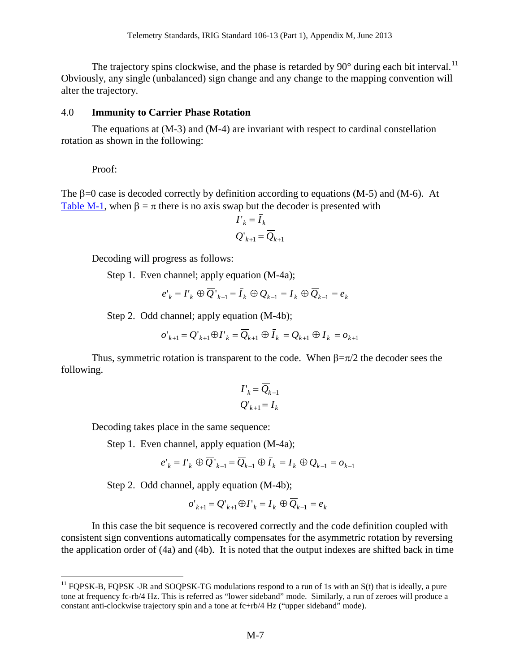The trajectory spins clockwise, and the phase is retarded by 90 $^{\circ}$  during each bit interval.<sup>[11](#page-10-1)</sup> Obviously, any single (unbalanced) sign change and any change to the mapping convention will alter the trajectory.

#### <span id="page-10-0"></span>4.0 **Immunity to Carrier Phase Rotation**

The equations at  $(M-3)$  and  $(M-4)$  are invariant with respect to cardinal constellation rotation as shown in the following:

Proof:

The  $\beta$ =0 case is decoded correctly by definition according to equations (M-5) and (M-6). At [Table M-1,](#page-6-2) when  $\beta = \pi$  there is no axis swap but the decoder is presented with

$$
I'_{k} = \overline{I}_{k}
$$

$$
Q'_{k+1} = \overline{Q}_{k+1}
$$

Decoding will progress as follows:

Step 1. Even channel; apply equation (M-4a);

$$
e'_{k} = I'_{k} \oplus \overline{Q'}_{k-1} = \overline{I}_{k} \oplus Q_{k-1} = I_{k} \oplus \overline{Q}_{k-1} = e_{k}
$$

Step 2. Odd channel; apply equation (M-4b);

$$
o'_{k+1} = Q'_{k+1} \oplus I'_{k} = \overline{Q}_{k+1} \oplus \overline{I}_{k} = Q_{k+1} \oplus I_{k} = o_{k+1}
$$

Thus, symmetric rotation is transparent to the code. When  $\beta = \pi/2$  the decoder sees the following.

$$
I'_{k} = \overline{Q}_{k-1}
$$

$$
Q'_{k+1} = I_{k}
$$

Decoding takes place in the same sequence:

Step 1. Even channel, apply equation (M-4a);

$$
e'_{k} = I'_{k} \oplus \overline{Q'}_{k-1} = \overline{Q}_{k-1} \oplus \overline{I}_{k} = I_{k} \oplus Q_{k-1} = o_{k-1}
$$

Step 2. Odd channel, apply equation (M-4b);

$$
o'_{k+1} = Q'_{k+1} \oplus I'_{k} = I_{k} \oplus \overline{Q}_{k-1} = e_{k}
$$

In this case the bit sequence is recovered correctly and the code definition coupled with consistent sign conventions automatically compensates for the asymmetric rotation by reversing the application order of (4a) and (4b). It is noted that the output indexes are shifted back in time

<span id="page-10-1"></span> $11$  FOPSK-B, FOPSK-JR and SOQPSK-TG modulations respond to a run of 1s with an S(t) that is ideally, a pure tone at frequency fc-rb/4 Hz. This is referred as "lower sideband" mode. Similarly, a run of zeroes will produce a constant anti-clockwise trajectory spin and a tone at fc+rb/4 Hz ("upper sideband" mode).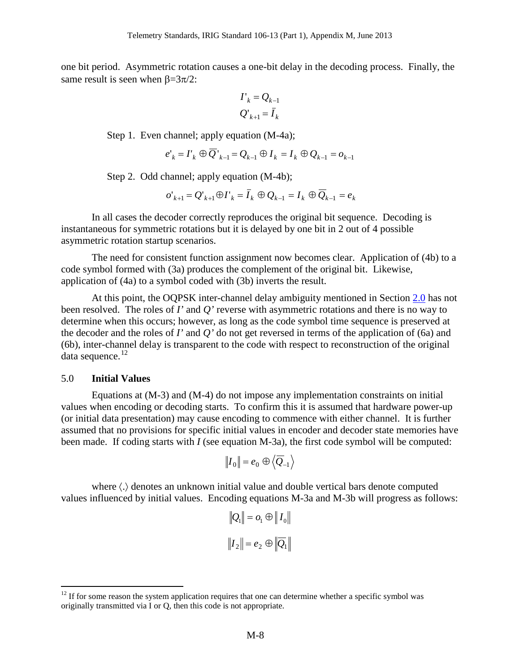one bit period. Asymmetric rotation causes a one-bit delay in the decoding process. Finally, the same result is seen when  $\beta = 3\pi/2$ :

$$
I'_{k} = Q_{k-1}
$$

$$
Q'_{k+1} = \overline{I}_{k}
$$

Step 1. Even channel; apply equation (M-4a);

$$
e'_{k} = I'_{k} \oplus \overline{Q'}_{k-1} = Q_{k-1} \oplus I_{k} = I_{k} \oplus Q_{k-1} = o_{k-1}
$$

Step 2. Odd channel; apply equation (M-4b);

$$
o'_{k+1} = Q'_{k+1} \oplus I'_{k} = \overline{I}_{k} \oplus Q_{k-1} = I_{k} \oplus \overline{Q}_{k-1} = e_{k}
$$

In all cases the decoder correctly reproduces the original bit sequence. Decoding is instantaneous for symmetric rotations but it is delayed by one bit in 2 out of 4 possible asymmetric rotation startup scenarios.

The need for consistent function assignment now becomes clear. Application of (4b) to a code symbol formed with (3a) produces the complement of the original bit. Likewise, application of (4a) to a symbol coded with (3b) inverts the result.

At this point, the OQPSK inter-channel delay ambiguity mentioned in Section [2.0](#page-4-1) has not been resolved. The roles of *I'* and *Q'* reverse with asymmetric rotations and there is no way to determine when this occurs; however, as long as the code symbol time sequence is preserved at the decoder and the roles of *I'* and *Q'* do not get reversed in terms of the application of (6a) and (6b), inter-channel delay is transparent to the code with respect to reconstruction of the original data sequence. $^{12}$  $^{12}$  $^{12}$ 

#### <span id="page-11-0"></span>5.0 **Initial Values**

Equations at (M-3) and (M-4) do not impose any implementation constraints on initial values when encoding or decoding starts. To confirm this it is assumed that hardware power-up (or initial data presentation) may cause encoding to commence with either channel. It is further assumed that no provisions for specific initial values in encoder and decoder state memories have been made. If coding starts with *I* (see equation M-3a), the first code symbol will be computed:

$$
\big\|{I}_{0}\big \|=e_0 \oplus \left\langle \overline{{\cal Q}}_{-1}\right\rangle
$$

where  $\langle \cdot \rangle$  denotes an unknown initial value and double vertical bars denote computed values influenced by initial values. Encoding equations M-3a and M-3b will progress as follows:

$$
\|\mathcal{Q}_1\| = o_1 \oplus \|I_0\|
$$
  

$$
\|I_2\| = e_2 \oplus \|\overline{\mathcal{Q}}_1\|
$$

 $\mathbb{R}^{\mathbb{Z}^2}$  and

<span id="page-11-1"></span> $12$  If for some reason the system application requires that one can determine whether a specific symbol was originally transmitted via I or Q, then this code is not appropriate.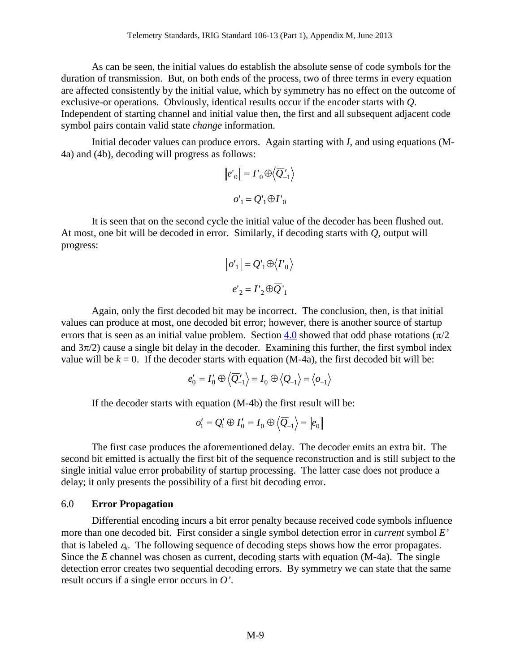As can be seen, the initial values do establish the absolute sense of code symbols for the duration of transmission. But, on both ends of the process, two of three terms in every equation are affected consistently by the initial value, which by symmetry has no effect on the outcome of exclusive-or operations. Obviously, identical results occur if the encoder starts with *Q*. Independent of starting channel and initial value then, the first and all subsequent adjacent code symbol pairs contain valid state *change* information.

Initial decoder values can produce errors. Again starting with *I*, and using equations (M-4a) and (4b), decoding will progress as follows:

$$
|e'_{0}| = \Gamma_{0} \oplus \langle \overline{Q}'_{-1} \rangle
$$

$$
o'_{1} = Q'_{1} \oplus \Gamma_{0}
$$

It is seen that on the second cycle the initial value of the decoder has been flushed out. At most, one bit will be decoded in error. Similarly, if decoding starts with *Q*, output will progress:

$$
\|o'_{1}\| = Q'_{1} \oplus \langle I'_{0} \rangle
$$

$$
e'_{2} = I'_{2} \oplus \overline{Q'}_{1}
$$

Again, only the first decoded bit may be incorrect. The conclusion, then, is that initial values can produce at most, one decoded bit error; however, there is another source of startup errors that is seen as an initial value problem. Section  $4.0$  showed that odd phase rotations ( $\pi/2$ ) and  $3\pi/2$ ) cause a single bit delay in the decoder. Examining this further, the first symbol index value will be  $k = 0$ . If the decoder starts with equation (M-4a), the first decoded bit will be:

$$
e'_0 = I'_0 \oplus \langle \overline{Q}'_{-1} \rangle = I_0 \oplus \langle Q_{-1} \rangle = \langle o_{-1} \rangle
$$

If the decoder starts with equation (M-4b) the first result will be:

$$
o'_1 = Q'_1 \oplus I'_0 = I_0 \oplus \langle \overline{Q}_{-1} \rangle = ||e_0||
$$

The first case produces the aforementioned delay. The decoder emits an extra bit. The second bit emitted is actually the first bit of the sequence reconstruction and is still subject to the single initial value error probability of startup processing. The latter case does not produce a delay; it only presents the possibility of a first bit decoding error.

#### <span id="page-12-0"></span>6.0 **Error Propagation**

Differential encoding incurs a bit error penalty because received code symbols influence more than one decoded bit. First consider a single symbol detection error in *current* symbol *E'* that is labeled  $\varepsilon_k$ . The following sequence of decoding steps shows how the error propagates. Since the *E* channel was chosen as current, decoding starts with equation (M-4a). The single detection error creates two sequential decoding errors. By symmetry we can state that the same result occurs if a single error occurs in *O'*.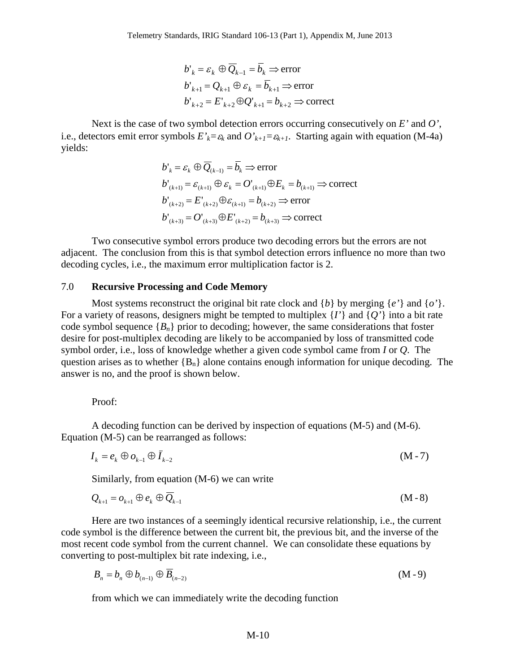$$
b'_{k} = \varepsilon_{k} \oplus \overline{Q}_{k-1} = \overline{b}_{k} \implies \text{error}
$$
  
\n
$$
b'_{k+1} = Q_{k+1} \oplus \varepsilon_{k} = \overline{b}_{k+1} \implies \text{error}
$$
  
\n
$$
b'_{k+2} = E'_{k+2} \oplus Q'_{k+1} = b_{k+2} \implies \text{correct}
$$

Next is the case of two symbol detection errors occurring consecutively on *E'* and *O'*, i.e., detectors emit error symbols  $E'_{k} = \varepsilon_{k}$  and  $O'_{k+1} = \varepsilon_{k+1}$ . Starting again with equation (M-4a) yields:

$$
b'_{k} = \varepsilon_{k} \oplus \overline{Q}_{(k-1)} = \overline{b}_{k} \implies \text{error}
$$
  
\n
$$
b'_{(k+1)} = \varepsilon_{(k+1)} \oplus \varepsilon_{k} = O'_{(k+1)} \oplus E_{k} = b_{(k+1)} \implies \text{correct}
$$
  
\n
$$
b'_{(k+2)} = E'_{(k+2)} \oplus \varepsilon_{(k+1)} = b_{(k+2)} \implies \text{error}
$$
  
\n
$$
b'_{(k+3)} = O'_{(k+3)} \oplus E'_{(k+2)} = b_{(k+3)} \implies \text{correct}
$$

Two consecutive symbol errors produce two decoding errors but the errors are not adjacent. The conclusion from this is that symbol detection errors influence no more than two decoding cycles, i.e., the maximum error multiplication factor is 2.

#### <span id="page-13-0"></span>7.0 **Recursive Processing and Code Memory**

Most systems reconstruct the original bit rate clock and {*b*} by merging {*e'*} and {*o'*}. For a variety of reasons, designers might be tempted to multiplex {*I'*} and {*Q'*} into a bit rate code symbol sequence  ${B_n}$  prior to decoding; however, the same considerations that foster desire for post-multiplex decoding are likely to be accompanied by loss of transmitted code symbol order, i.e., loss of knowledge whether a given code symbol came from *I* or *Q*. The question arises as to whether  ${B_n}$  alone contains enough information for unique decoding. The answer is no, and the proof is shown below.

Proof:

A decoding function can be derived by inspection of equations (M-5) and (M-6). Equation (M-5) can be rearranged as follows:

$$
I_k = e_k \oplus o_{k-1} \oplus \bar{I}_{k-2} \tag{M-7}
$$

Similarly, from equation (M-6) we can write

$$
Q_{k+1} = o_{k+1} \oplus e_k \oplus \overline{Q}_{k-1} \tag{M-8}
$$

Here are two instances of a seemingly identical recursive relationship, i.e., the current code symbol is the difference between the current bit, the previous bit, and the inverse of the most recent code symbol from the current channel. We can consolidate these equations by converting to post-multiplex bit rate indexing, i.e.,

$$
B_n = b_n \oplus b_{(n-1)} \oplus \overline{B}_{(n-2)} \tag{M-9}
$$

from which we can immediately write the decoding function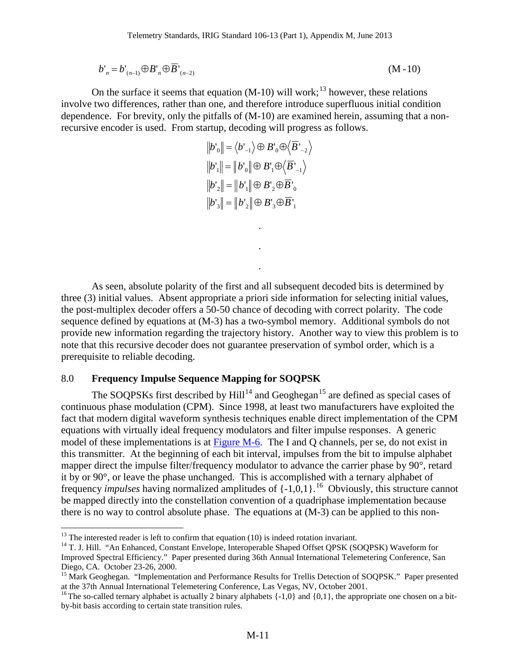$$
b'_n = b'_{(n-1)} \oplus B'_n \oplus \overline{B'}_{(n-2)} \tag{M-10}
$$

On the surface it seems that equation  $(M-10)$  will work;<sup>[13](#page-14-1)</sup> however, these relations involve two differences, rather than one, and therefore introduce superfluous initial condition dependence. For brevity, only the pitfalls of (M-10) are examined herein, assuming that a nonrecursive encoder is used. From startup, decoding will progress as follows.

$$
||b'_{0}|| = \langle b'_{-1} \rangle \oplus B'_{0} \oplus \langle \overline{B'}_{-2} \rangle
$$
  

$$
||b'_{1}|| = ||b'_{0}|| \oplus B'_{1} \oplus \langle \overline{B'}_{-1} \rangle
$$
  

$$
||b'_{2}|| = ||b'_{1}|| \oplus B'_{2} \oplus \overline{B'}_{0}
$$
  

$$
||b'_{3}|| = ||b'_{2}|| \oplus B'_{3} \oplus \overline{B'}_{1}
$$

.

.

.

As seen, absolute polarity of the first and all subsequent decoded bits is determined by three (3) initial values. Absent appropriate a priori side information for selecting initial values, the post-multiplex decoder offers a 50-50 chance of decoding with correct polarity. The code sequence defined by equations at (M-3) has a two-symbol memory. Additional symbols do not provide new information regarding the trajectory history. Another way to view this problem is to note that this recursive decoder does not guarantee preservation of symbol order, which is a prerequisite to reliable decoding.

### <span id="page-14-0"></span>8.0 **Frequency Impulse Sequence Mapping for SOQPSK**

The SOQPSKs first described by  $Hill<sup>14</sup>$  $Hill<sup>14</sup>$  $Hill<sup>14</sup>$  and Geoghegan<sup>[15](#page-14-3)</sup> are defined as special cases of continuous phase modulation (CPM). Since 1998, at least two manufacturers have exploited the fact that modern digital waveform synthesis techniques enable direct implementation of the CPM equations with virtually ideal frequency modulators and filter impulse responses. A generic model of these implementations is at [Figure M-6.](#page-15-0) The I and Q channels, per se, do not exist in this transmitter. At the beginning of each bit interval, impulses from the bit to impulse alphabet mapper direct the impulse filter/frequency modulator to advance the carrier phase by 90°, retard it by or 90°, or leave the phase unchanged. This is accomplished with a ternary alphabet of frequency *impulses* having normalized amplitudes of  $\{-1,0,1\}$ .<sup>16</sup> Obviously, this structure cannot be mapped directly into the constellation convention of a quadriphase implementation because there is no way to control absolute phase. The equations at (M-3) can be applied to this non-

<span id="page-14-2"></span><span id="page-14-1"></span><sup>&</sup>lt;sup>13</sup> The interested reader is left to confirm that equation (10) is indeed rotation invariant.<br><sup>14</sup> T. J. Hill. "An Enhanced, Constant Envelope, Interoperable Shaped Offset QPSK (SOQPSK) Waveform for Improved Spectral Efficiency." Paper presented during 36th Annual International Telemetering Conference, San Diego, CA. October 23-26, 2000.

<span id="page-14-3"></span><sup>&</sup>lt;sup>15</sup> Mark Geoghegan. "Implementation and Performance Results for Trellis Detection of SOQPSK." Paper presented at the 37th Annual International Telemetering Conference, Las Vegas, NV, October 2001.

<span id="page-14-4"></span><sup>&</sup>lt;sup>16</sup>The so-called ternary alphabet is actually 2 binary alphabets  $\{-1,0\}$  and  $\{0,1\}$ , the appropriate one chosen on a bitby-bit basis according to certain state transition rules.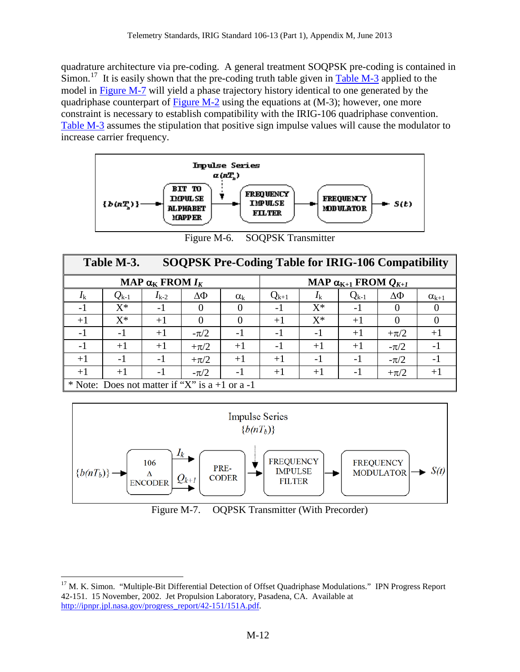quadrature architecture via pre-coding. A general treatment SOQPSK pre-coding is contained in Simon.<sup>17</sup> It is easily shown that the pre-coding truth table given in  $\overline{\text{Table M-3}}$  applied to the model in [Figure M-7](#page-15-1) will yield a phase trajectory history identical to one generated by the quadriphase counterpart of Figure  $M-2$  using the equations at  $(M-3)$ ; however, one more constraint is necessary to establish compatibility with the IRIG-106 quadriphase convention. [Table M-3](#page-15-2) assumes the stipulation that positive sign impulse values will cause the modulator to increase carrier frequency.



Figure M-6. SOQPSK Transmitter

<span id="page-15-2"></span><span id="page-15-0"></span>

|         | Table M-3.                                           |                           |              |              |                |         |                                   | <b>SOQPSK Pre-Coding Table for IRIG-106 Compatibility</b> |                |
|---------|------------------------------------------------------|---------------------------|--------------|--------------|----------------|---------|-----------------------------------|-----------------------------------------------------------|----------------|
|         |                                                      | MAP $\alpha_K$ FROM $I_K$ |              |              |                |         | MAP $\alpha_{K+1}$ FROM $Q_{K+1}$ |                                                           |                |
| $I_{k}$ | $Q_{k-1}$                                            | $I_{k-2}$                 | $\Delta\Phi$ | $\alpha_{k}$ | $Q_{k+1}$      | $I_{k}$ | $Q_{k-1}$                         | ΛФ                                                        | $\alpha_{k+1}$ |
| $-1$    | $X^*$                                                | $-1$                      | $\theta$     |              | - 1            | $X^*$   | -1                                |                                                           |                |
| $+1$    | $X^*$                                                | $+1$                      | 0            |              | $+1$           | $X^*$   | $+1$                              |                                                           |                |
| $-1$    | $-1$                                                 | $+1$                      | $-\pi/2$     | -1           | $-1$           | -1      | $+1$                              | $+\pi/2$                                                  | $+1$           |
| $-1$    | $+1$                                                 | $+1$                      | $+\pi/2$     | $+1$         | $\overline{a}$ | $+1$    | $+1$                              | $-\pi/2$                                                  | $-1$           |
| $+1$    | $-1$                                                 | $-1$                      | $+\pi/2$     | $+1$         | $+1$           | -1      | -1                                | $-\pi/2$                                                  | -1             |
| $+1$    | $+1$                                                 | $-1$                      | $-\pi/2$     | -1           | $+1$           | $+1$    | -1                                | $+\pi/2$                                                  | $+1$           |
|         | * Note: Does not matter if "X" is $a + 1$ or $a - 1$ |                           |              |              |                |         |                                   |                                                           |                |



Figure M-7. OQPSK Transmitter (With Precorder)

<span id="page-15-3"></span><span id="page-15-1"></span><sup>&</sup>lt;sup>17</sup> M. K. Simon. "Multiple-Bit Differential Detection of Offset Quadriphase Modulations." IPN Progress Report 42-151. 15 November, 2002. Jet Propulsion Laboratory, Pasadena, CA. Available at [http://ipnpr.jpl.nasa.gov/progress\\_report/42-151/151A.pdf.](http://ipnpr.jpl.nasa.gov/progress_report/42-151/151A.pdf)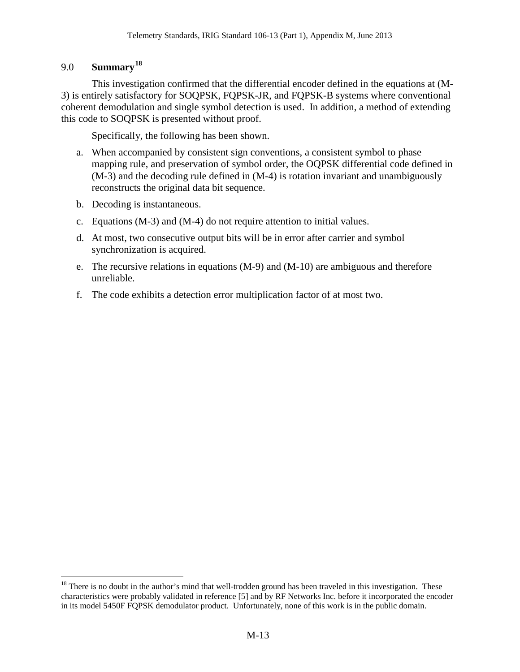## <span id="page-16-0"></span>9.0 **Summary[18](#page-16-1)**

This investigation confirmed that the differential encoder defined in the equations at (M-3) is entirely satisfactory for SOQPSK, FQPSK-JR, and FQPSK-B systems where conventional coherent demodulation and single symbol detection is used. In addition, a method of extending this code to SOQPSK is presented without proof.

Specifically, the following has been shown.

- a. When accompanied by consistent sign conventions, a consistent symbol to phase mapping rule, and preservation of symbol order, the OQPSK differential code defined in (M-3) and the decoding rule defined in (M-4) is rotation invariant and unambiguously reconstructs the original data bit sequence.
- b. Decoding is instantaneous.
- c. Equations (M-3) and (M-4) do not require attention to initial values.
- d. At most, two consecutive output bits will be in error after carrier and symbol synchronization is acquired.
- e. The recursive relations in equations (M-9) and (M-10) are ambiguous and therefore unreliable.
- f. The code exhibits a detection error multiplication factor of at most two.

<span id="page-16-1"></span> $18$  There is no doubt in the author's mind that well-trodden ground has been traveled in this investigation. These characteristics were probably validated in reference [\[5\]](#page-25-1) and by RF Networks Inc. before it incorporated the encoder in its model 5450F FQPSK demodulator product. Unfortunately, none of this work is in the public domain.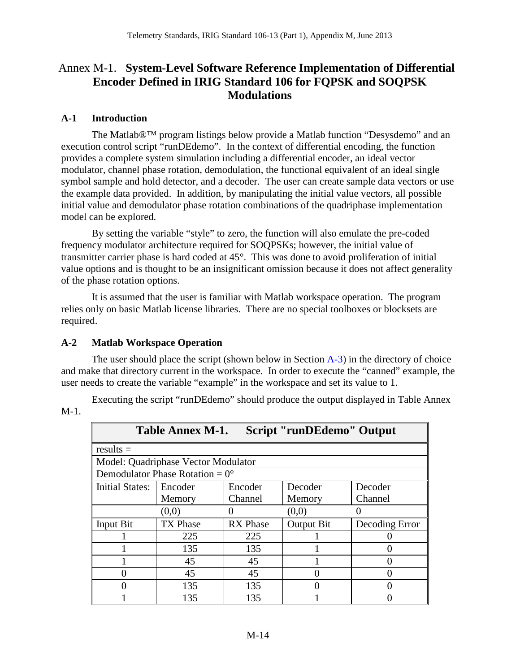## <span id="page-17-0"></span>Annex M-1. **System-Level Software Reference Implementation of Differential Encoder Defined in IRIG Standard 106 for FQPSK and SOQPSK Modulations**

### <span id="page-17-1"></span>**A-1 Introduction**

The Matlab®™ program listings below provide a Matlab function "Desysdemo" and an execution control script "runDEdemo". In the context of differential encoding, the function provides a complete system simulation including a differential encoder, an ideal vector modulator, channel phase rotation, demodulation, the functional equivalent of an ideal single symbol sample and hold detector, and a decoder. The user can create sample data vectors or use the example data provided. In addition, by manipulating the initial value vectors, all possible initial value and demodulator phase rotation combinations of the quadriphase implementation model can be explored.

By setting the variable "style" to zero, the function will also emulate the pre-coded frequency modulator architecture required for SOQPSKs; however, the initial value of transmitter carrier phase is hard coded at 45°. This was done to avoid proliferation of initial value options and is thought to be an insignificant omission because it does not affect generality of the phase rotation options.

It is assumed that the user is familiar with Matlab workspace operation. The program relies only on basic Matlab license libraries. There are no special toolboxes or blocksets are required.

### <span id="page-17-2"></span>**A-2 Matlab Workspace Operation**

The user should place the script (shown below in Section  $\overline{A-3}$ ) in the directory of choice and make that directory current in the workspace. In order to execute the "canned" example, the user needs to create the variable "example" in the workspace and set its value to 1.

Executing the script "runDEdemo" should produce the output displayed in [Table Annex](#page-17-3)  [M-1.](#page-17-3)

<span id="page-17-3"></span>

| <b>Script "runDEdemo" Output</b><br><b>Table Annex M-1.</b> |                                          |                 |            |                |  |  |  |  |
|-------------------------------------------------------------|------------------------------------------|-----------------|------------|----------------|--|--|--|--|
| $results =$                                                 |                                          |                 |            |                |  |  |  |  |
|                                                             | Model: Quadriphase Vector Modulator      |                 |            |                |  |  |  |  |
|                                                             | Demodulator Phase Rotation = $0^{\circ}$ |                 |            |                |  |  |  |  |
| <b>Initial States:</b>                                      | Encoder                                  | Encoder         | Decoder    | Decoder        |  |  |  |  |
|                                                             | Memory                                   | Channel         | Memory     | Channel        |  |  |  |  |
|                                                             | (0,0)                                    |                 | (0,0)      |                |  |  |  |  |
| <b>Input Bit</b>                                            | <b>TX</b> Phase                          | <b>RX</b> Phase | Output Bit | Decoding Error |  |  |  |  |
|                                                             | 225                                      | 225             |            |                |  |  |  |  |
|                                                             | 135                                      | 135             |            |                |  |  |  |  |
|                                                             | 45                                       | 45              |            |                |  |  |  |  |
|                                                             | 45                                       | 45              |            |                |  |  |  |  |
|                                                             | 135                                      | 135             |            |                |  |  |  |  |
|                                                             | 135                                      | 135             |            |                |  |  |  |  |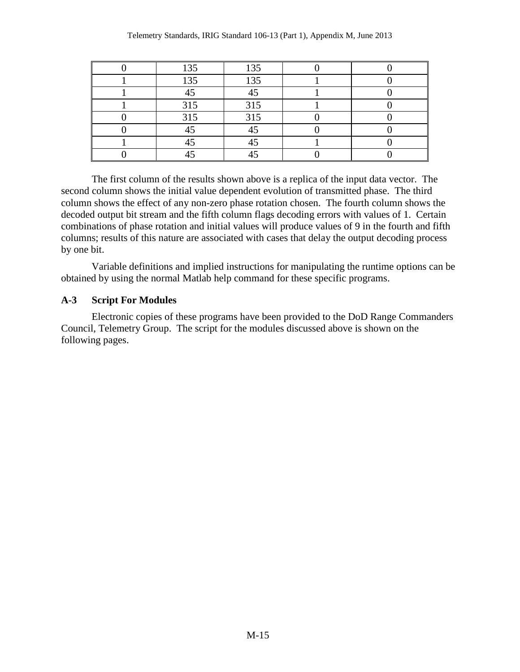| 135                   | 135 |  |
|-----------------------|-----|--|
| 135                   | 135 |  |
| $\Delta$              | 45  |  |
| 315                   | 315 |  |
| 315                   | 315 |  |
| $\overline{45}$<br>۰. | 45  |  |
| т.                    | ⊤◡  |  |
|                       |     |  |

The first column of the results shown above is a replica of the input data vector. The second column shows the initial value dependent evolution of transmitted phase. The third column shows the effect of any non-zero phase rotation chosen. The fourth column shows the decoded output bit stream and the fifth column flags decoding errors with values of 1. Certain combinations of phase rotation and initial values will produce values of 9 in the fourth and fifth columns; results of this nature are associated with cases that delay the output decoding process by one bit.

Variable definitions and implied instructions for manipulating the runtime options can be obtained by using the normal Matlab help command for these specific programs.

### <span id="page-18-0"></span>**A-3 Script For Modules**

Electronic copies of these programs have been provided to the DoD Range Commanders Council, Telemetry Group. The script for the modules discussed above is shown on the following pages.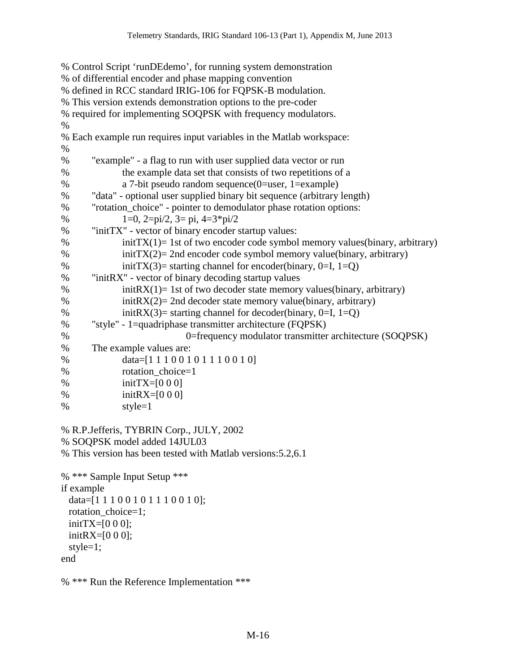% Control Script 'runDEdemo', for running system demonstration % of differential encoder and phase mapping convention % defined in RCC standard IRIG-106 for FQPSK-B modulation. % This version extends demonstration options to the pre-coder % required for implementing SOQPSK with frequency modulators. % % Each example run requires input variables in the Matlab workspace: % % "example" - a flag to run with user supplied data vector or run % the example data set that consists of two repetitions of a % a 7-bit pseudo random sequence(0=user, 1=example) % "data" - optional user supplied binary bit sequence (arbitrary length) % "rotation\_choice" - pointer to demodulator phase rotation options: % 1=0, 2=pi/2, 3= pi,  $4=3*pi/2$ % "initTX" - vector of binary encoder startup values: % initTX $(1)$ = 1st of two encoder code symbol memory values(binary, arbitrary) % initTX $(2)$ = 2nd encoder code symbol memory value(binary, arbitrary) % initTX(3)= starting channel for encoder(binary, 0=I, 1=Q) % "initRX" - vector of binary decoding startup values % initRX $(1)$ = 1st of two decoder state memory values(binary, arbitrary) % initRX $(2)$ = 2nd decoder state memory value(binary, arbitrary) % initRX(3)= starting channel for decoder(binary, 0=I, 1=Q) % "style" - 1=quadriphase transmitter architecture (FQPSK) % 0=frequency modulator transmitter architecture (SOQPSK) % The example values are: % data=[1 1 1 0 0 1 0 1 1 1 0 0 1 0] % rotation choice=1 %  $initTX=[0\ 0\ 0]$ % initRX=[0 0 0]  $%$  style=1 % R.P.Jefferis, TYBRIN Corp., JULY, 2002

- % SOQPSK model added 14JUL03
- % This version has been tested with Matlab versions:5.2,6.1

```
% *** Sample Input Setup ***
if example
 data=[1 1 1 0 0 1 0 1 1 1 0 0 1 0];
  rotation_choice=1;
 initTX=[0 0 0];
 initRX=[0 0 0]; style=1;
end
```
% \*\*\* Run the Reference Implementation \*\*\*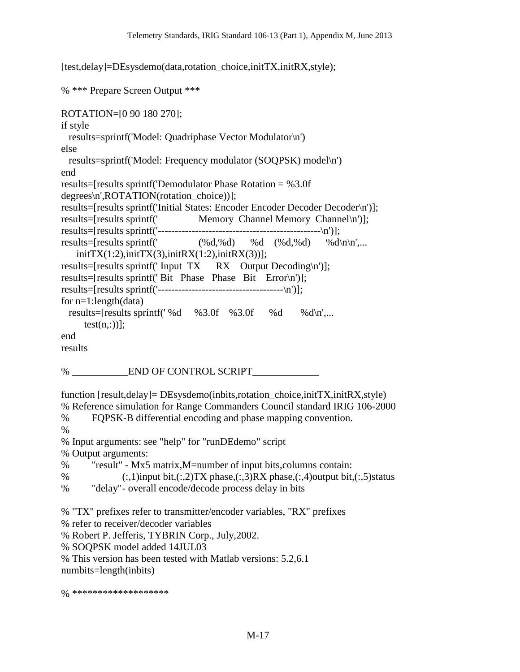[test,delay]=DEsysdemo(data,rotation\_choice,initTX,initRX,style);

```
% *** Prepare Screen Output ***
```

```
ROTATION=[0 90 180 270];
if style
  results=sprintf('Model: Quadriphase Vector Modulator\n')
else
  results=sprintf('Model: Frequency modulator (SOQPSK) model\n')
end
results=[results sprintf('Demodulator Phase Rotation = %3.0f 
degrees\n',ROTATION(rotation_choice))];
results=[results sprintf('Initial States: Encoder Encoder Decoder Decoder\n')];
results=[results sprintf(' Memory Channel Memory Channel\n')];
results=[results sprintf('------------------------------------------------\n')];
results=[results sprintf(' (\%d, \%d) %d (\%d, \%d) %d\n\n',...
   initTX(1:2),initTX(3),initRX(1:2),initRX(3)];
results=[results sprintf(' Input TX RX Output Decoding\n')];
results=[results sprintf(' Bit Phase Phase Bit Error\n')];
results=[results sprintf('-------------------------------------\n')];
for n=1: length(data)results=[results sprintf(' %d %3.0f %3.0f %d %d\n',...
     test(n,:)];
end
results
% ___________END OF CONTROL SCRIPT_____________
```

```
function [result,delay]= DEsysdemo(inbits,rotation_choice,initTX,initRX,style)
% Reference simulation for Range Commanders Council standard IRIG 106-2000
% FQPSK-B differential encoding and phase mapping convention.
%
% Input arguments: see "help" for "runDEdemo" script
% Output arguments:
% "result" - Mx5 matrix,M=number of input bits,columns contain:
% (:,1)input bit,(:,2)TX phase,(:,3)RX phase,(:,4)output bit,(:,5)status
% "delay"- overall encode/decode process delay in bits
% "TX" prefixes refer to transmitter/encoder variables, "RX" prefixes
% refer to receiver/decoder variables
% Robert P. Jefferis, TYBRIN Corp., July,2002.
% SOQPSK model added 14JUL03
% This version has been tested with Matlab versions: 5.2,6.1
numbits=length(inbits)
```
% \*\*\*\*\*\*\*\*\*\*\*\*\*\*\*\*\*\*\*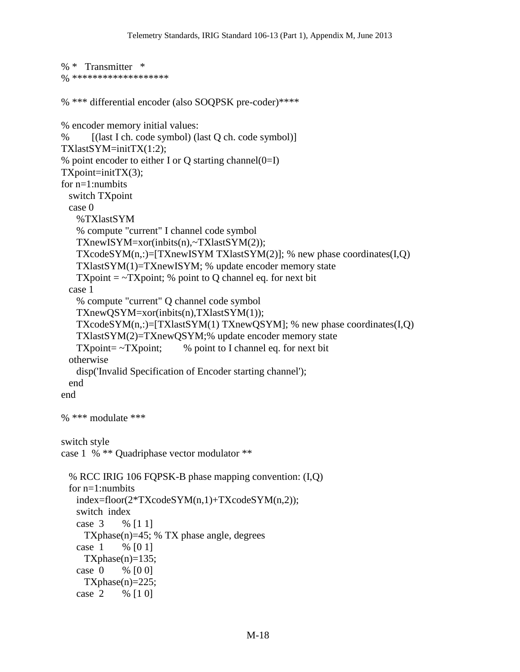```
% * Transmitter *
% *******************
% *** differential encoder (also SOQPSK pre-coder)****
% encoder memory initial values:
% [(last I ch. code symbol) (last Q ch. code symbol)]
TXlastSYM=initTX(1:2);
% point encoder to either I or Q starting channel(0=I)TXpoint=initTX(3);for n=1: numbits
  switch TXpoint
  case 0
    %TXlastSYM
    % compute "current" I channel code symbol
    TXnewISYM=xor(inbits(n),~TXlastSYM(2));
   TXcodeSYM(n,:)=[TXnewISYM TXlastSYM(2)]; % new phase coordinates(I,Q)
    TXlastSYM(1)=TXnewISYM; % update encoder memory state
   TXpoint = -TXpoint; % point to Q channel eq. for next bit
  case 1
    % compute "current" Q channel code symbol
    TXnewQSYM=xor(inbits(n),TXlastSYM(1));
    TXcodeSYM(n,:)=[TXlastSYM(1) TXnewQSYM]; % new phase coordinates(I,Q)
    TXlastSYM(2)=TXnewQSYM;% update encoder memory state
   TXpoint = -TXpoint; % point to I channel eq. for next bit
  otherwise
    disp('Invalid Specification of Encoder starting channel');
  end
end
% *** modulate ***switch style
case 1 % ** Quadriphase vector modulator **
  % RCC IRIG 106 FQPSK-B phase mapping convention: (I,Q)
  for n=1:numbits
    index=floor(2*TXcodeSYM(n,1)+TXcodeSYM(n,2));
    switch index
    case 3 % [1 1]
     TXphase(n)=45; % TX phase angle, degrees
    case 1 % [0 1]
     TXphase(n)=135; case 0 % [0 0]
     TXphase(n)=225; case 2 % [1 0]
```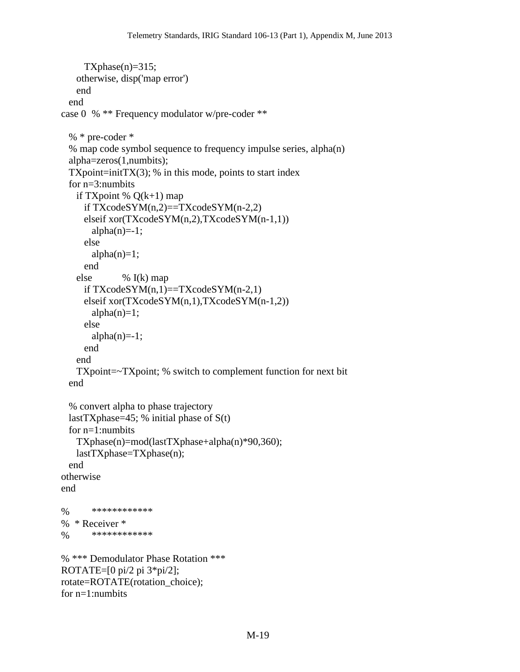```
TXphase(n)=315; otherwise, disp('map error')
    end
  end
case 0 % ** Frequency modulator w/pre-coder **
  % * pre-coder *
  % map code symbol sequence to frequency impulse series, alpha(n)
  alpha=zeros(1,numbits);
 TXpoint = initTX(3); % in this mode, points to start index
  for n=3:numbits
   if TXpoint % Q(k+1) map
     if TXcodeSYM(n,2)=TXcodeSYM(n-2,2) elseif xor(TXcodeSYM(n,2),TXcodeSYM(n-1,1))
      alpha(n)=1;
      else
       alpha(n)=1;
      end
   else % I(k) map
     if TXcodeSYM(n,1)=TXcodeSYM(n-2,1) elseif xor(TXcodeSYM(n,1),TXcodeSYM(n-1,2))
       alpha(n)=1; else
      alpha(n)=-1; end
    end
    TXpoint=~TXpoint; % switch to complement function for next bit
  end
  % convert alpha to phase trajectory
 lastTXphase=45; % initial phase of S(t) for n=1:numbits
    TXphase(n)=mod(lastTXphase+alpha(n)*90,360);
    lastTXphase=TXphase(n);
  end
otherwise
end
% ************
% * Receiver *
% ************
% *** Demodulator Phase Rotation ***
ROTATE=[0 \pi/2 \pi 3* \pi/2];
rotate=ROTATE(rotation_choice);
for n=1: numbits
```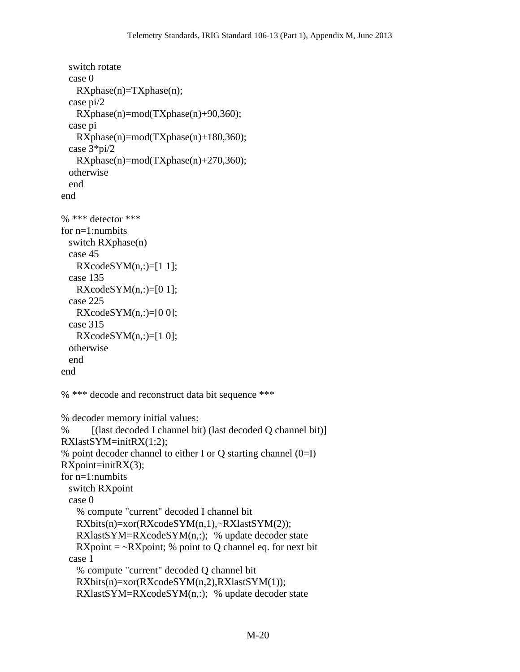```
 switch rotate
  case 0
    RXphase(n)=TXphase(n);
  case pi/2
   RXphase(n)=mod(TXphase(n)+90,360); case pi
   RXphase(n)=mod(TXphase(n)+180,360); case 3*pi/2
    RXphase(n)=mod(TXphase(n)+270,360);
  otherwise
  end
end
% *** detector ***
for n=1:numbits
  switch RXphase(n)
  case 45
   RXcodeSYM(n,:)=[1\ 1]; case 135
   RXcodeSYM(n,:)=[0 1]; case 225
   RXcodeSYM(n,:)=[0 0]; case 315
   RXcodeSYM(n,:)=[1 0]; otherwise
  end
end
```

```
% *** decode and reconstruct data bit sequence ***
```

```
% decoder memory initial values:
```

```
% [(last decoded I channel bit) (last decoded Q channel bit)]
RXlastSYM=initRX(1:2);
% point decoder channel to either I or Q starting channel (0=I)
RXpoint=initRX(3);
for n=1:numbits
  switch RXpoint
  case 0
    % compute "current" decoded I channel bit
    RXbits(n)=xor(RXcodeSYM(n,1),~RXlastSYM(2));
    RXlastSYM=RXcodeSYM(n,:); % update decoder state
   RXpoint = \neg RX point; % point to Q channel eq. for next bit
  case 1
    % compute "current" decoded Q channel bit
    RXbits(n)=xor(RXcodeSYM(n,2),RXlastSYM(1));
    RXlastSYM=RXcodeSYM(n,:); % update decoder state
```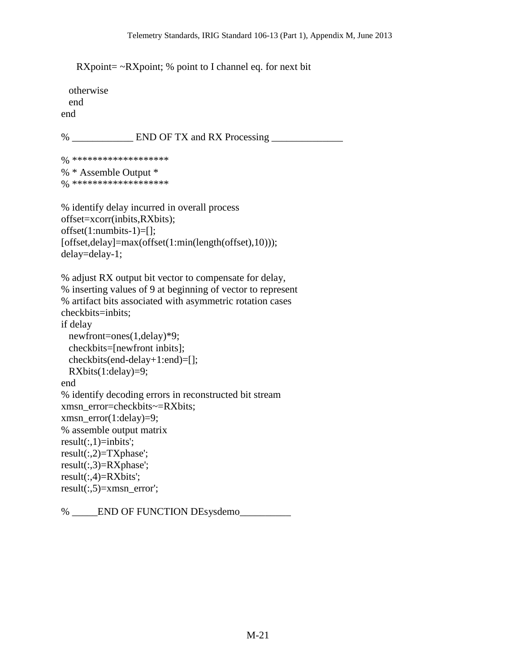RXpoint= $\sim$ RXpoint; % point to I channel eq. for next bit otherwise end end % \_\_\_\_\_\_\_\_\_\_\_\_\_\_ END OF TX and RX Processing \_\_\_\_\_\_\_\_\_\_\_\_\_\_\_\_\_\_\_\_\_\_\_\_\_\_\_\_\_\_\_\_\_\_\_ % \*\*\*\*\*\*\*\*\*\*\*\*\*\*\*\*\*\*\* % \* Assemble Output \* % \*\*\*\*\*\*\*\*\*\*\*\*\*\*\*\*\*\*\* % identify delay incurred in overall process offset=xcorr(inbits,RXbits); offset(1:numbits-1)=[]; [offset,delay]=max(offset(1:min(length(offset),10))); delay=delay-1; % adjust RX output bit vector to compensate for delay, % inserting values of 9 at beginning of vector to represent % artifact bits associated with asymmetric rotation cases checkbits=inbits; if delay newfront=ones(1,delay)\*9; checkbits=[newfront inbits]; checkbits(end-delay+1:end)=[]; RXbits(1:delay)=9; end % identify decoding errors in reconstructed bit stream xmsn\_error=checkbits~=RXbits; xmsn\_error(1:delay)=9; % assemble output matrix  $result(:,1)=inbits';$ result(:,2)=TXphase'; result(:,3)=RXphase'; result(:,4)=RXbits'; result $(:,5)$ =xmsn\_error';

```
% _____END OF FUNCTION DEsysdemo__________
```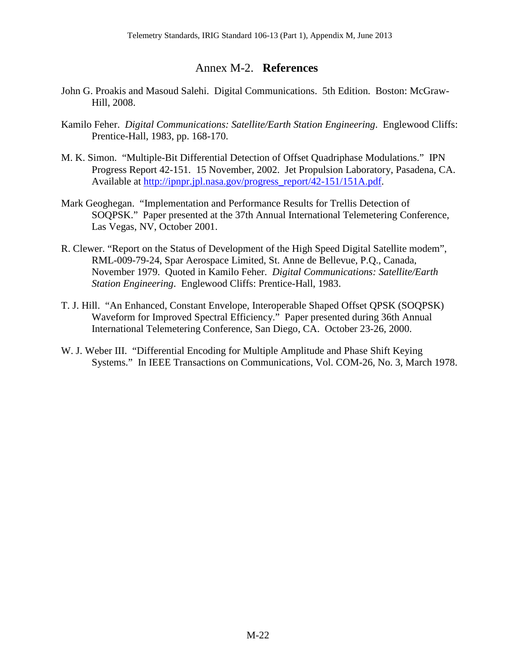## Annex M-2. **References**

- <span id="page-25-0"></span>John G. Proakis and Masoud Salehi. Digital Communications. 5th Edition. Boston: McGraw-Hill, 2008.
- Kamilo Feher. *Digital Communications: Satellite/Earth Station Engineering*. Englewood Cliffs: Prentice-Hall, 1983, pp. 168-170.
- <span id="page-25-1"></span>M. K. Simon. "Multiple-Bit Differential Detection of Offset Quadriphase Modulations." IPN Progress Report 42-151. 15 November, 2002. Jet Propulsion Laboratory, Pasadena, CA. Available at [http://ipnpr.jpl.nasa.gov/progress\\_report/42-151/151A.pdf.](http://ipnpr.jpl.nasa.gov/progress_report/42-151/151A.pdf)
- Mark Geoghegan. "Implementation and Performance Results for Trellis Detection of SOQPSK." Paper presented at the 37th Annual International Telemetering Conference, Las Vegas, NV, October 2001.
- R. Clewer. "Report on the Status of Development of the High Speed Digital Satellite modem", RML-009-79-24, Spar Aerospace Limited, St. Anne de Bellevue, P.Q., Canada, November 1979. Quoted in Kamilo Feher. *Digital Communications: Satellite/Earth Station Engineering*. Englewood Cliffs: Prentice-Hall, 1983.
- T. J. Hill. "An Enhanced, Constant Envelope, Interoperable Shaped Offset QPSK (SOQPSK) Waveform for Improved Spectral Efficiency." Paper presented during 36th Annual International Telemetering Conference, San Diego, CA. October 23-26, 2000.
- W. J. Weber III. "Differential Encoding for Multiple Amplitude and Phase Shift Keying Systems." In IEEE Transactions on Communications, Vol. COM-26, No. 3, March 1978.